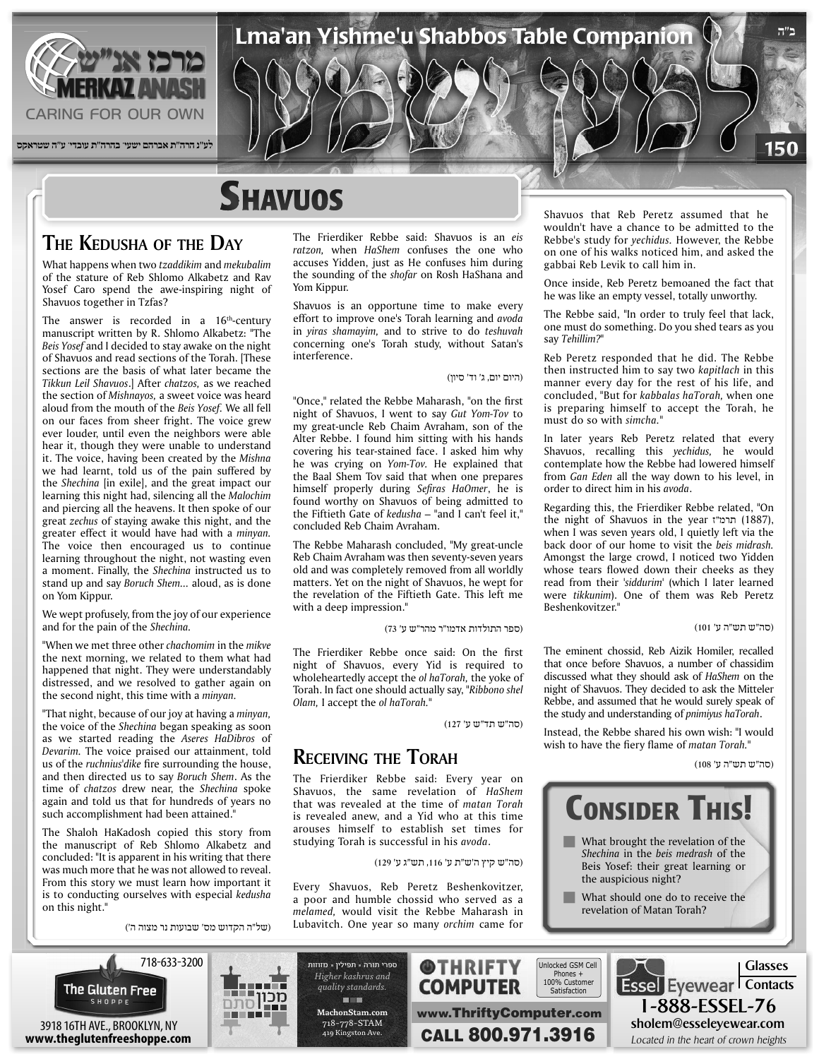

## **SHAVUOS**

#### **THE KEDUSHA OF THE DAY**

What happens when two *tzaddikim* and *mekubalim* of the stature of Reb Shlomo Alkabetz and Rav Yosef Caro spend the awe-inspiring night of Shavuos together in Tzfas?

The answer is recorded in a  $16<sup>th</sup>$ -century manuscript written by R. Shlomo Alkabetz: "The Beis Yosef and I decided to stay awake on the night of Shavuos and read sections of the Torah. [These sections are the basis of what later became the Tikkun Leil Shavuos.] After chatzos, as we reached the section of *Mishnayos*, a sweet voice was heard aloud from the mouth of the *Beis Yosef*. We all fell on our faces from sheer fright. The voice grew ever louder, until even the neighbors were able hear it, though they were unable to understand *it.* The voice, having been created by the Mishna we had learnt, told us of the pain suffered by the *Shechina* [in exile], and the great impact our learning this night had, silencing all the Malochim and piercing all the heavens. It then spoke of our great zechus of staying awake this night, and the greater effect it would have had with a *minyan*. The voice then encouraged us to continue learning throughout the night, not wasting even a moment. Finally, the Shechina instructed us to stand up and say *Boruch Shem...* aloud, as is done on Yom Kippur.

We wept profusely, from the joy of our experience and for the pain of the *Shechina*.

"When we met three other *chachomim* in the *mikve* the next morning, we related to them what had happened that night. They were understandably distressed, and we resolved to gather again on the second night, this time with a *minyan*.

"That night, because of our joy at having a *minyan*, the voice of the Shechina began speaking as soon as we started reading the Aseres HaDibros of Devarim. The voice praised our attainment, told us of the *ruchnius'dike* fire surrounding the house, and then directed us to say *Boruch Shem*. As the time of *chatzos* drew near, the *Shechina* spoke again and told us that for hundreds of years no such accomplishment had been attained.

The Shaloh HaKadosh copied this story from the manuscript of Reb Shlomo Alkabetz and concluded: "It is apparent in his writing that there was much more that he was not allowed to reveal. From this story we must learn how important it is to conducting ourselves with especial kedusha on this night."

(של"ה הקדוש מס' שבועות נר מצוה ה')

The Frierdiker Rebbe said: Shavuos is an eis ratzon, when *HaShem* confuses the one who accuses Yidden, just as He confuses him during the sounding of the *shofar* on Rosh HaShana and Yom Kippur.

Shavuos is an opportune time to make every effort to improve one's Torah learning and *avoda* in *yiras shamayim*, and to strive to do teshuvah concerning one's Torah study, without Satan's interference.

(היום יום, ג' וד' סיון)

Lma'an Yishme'u Shabbos Table Companion

"Once," related the Rebbe Maharash, "on the first night of Shavuos, I went to say Gut Yom-Tov to my great-uncle Reb Chaim Avraham, son of the Alter Rebbe. I found him sitting with his hands covering his tear-stained face. I asked him why he was crying on Yom-Tov. He explained that the Baal Shem Tov said that when one prepares himself properly during Sefiras HaOmer, he is found worthy on Shavuos of being admitted to the Fiftieth Gate of kedusha - "and I can't feel it," concluded Reb Chaim Avraham.

The Rebbe Maharash concluded, "My great-uncle Reb Chaim Avraham was then seventy-seven years old and was completely removed from all worldly matters. Yet on the night of Shavuos, he wept for the revelation of the Fiftieth Gate. This left me with a deep impression."

(ספר התולדות אדמו"ר מהר"ש ע' 73)

The Frierdiker Rebbe once said: On the first night of Shavuos, every Yid is required to wholeheartedly accept the *ol haTorah*, the yoke of Torah. In fact one should actually say, "Ribbono shel *Olam, I accept the ol haTorah.*"

(סה"ש תד"ש ע' 127)

#### **RECEIVING THE TORAH**

The Frierdiker Rebbe said: Every year on Shavuos, the same revelation of HaShem that was revealed at the time of *matan* Torah is revealed anew, and a Yid who at this time arouses himself to establish set times for studying Torah is successful in his avoda.

(סה"ש קיץ ה'ש"ת ע' ,116 תש"ג ע' 129)

Every Shavuos, Reb Peretz Beshenkovitzer, a poor and humble chossid who served as a *melamed*, would visit the Rebbe Maharash in Lubavitch. One year so many orchim came for

Shavuos that Reb Peretz assumed that he wouldn't have a chance to be admitted to the Rebbe's study for *yechidus*. However, the Rebbe on one of his walks noticed him, and asked the gabbai Reb Levik to call him in.

**ב"ה**

150

Once inside. Reb Peretz bemoaned the fact that he was like an empty vessel, totally unworthy.

The Rebbe said, "In order to truly feel that lack, one must do something. Do you shed tears as you say Tehillim?"

Reb Peretz responded that he did. The Rebbe then instructed him to say two kapitlach in this manner every day for the rest of his life, and concluded, "But for kabbalas haTorah, when one is preparing himself to accept the Torah, he must do so with simcha."

In later years Reb Peretz related that every Shavuos, recalling this *yechidus*, he would contemplate how the Rebbe had lowered himself from Gan Eden all the way down to his level, in order to direct him in his *avoda*.

Regarding this, the Frierdiker Rebbe related, "On the night of Shavuos in the year tream (1887), when I was seven years old, I quietly left via the back door of our home to visit the beis midrash. Amongst the large crowd, I noticed two Yidden whose tears flowed down their cheeks as they read from their 'siddurim' (which I later learned were tikkunim). One of them was Reb Peretz Beshenkovitzer."

(סה"ש תש"ה ע' 101)

The eminent chossid, Reb Aizik Homiler, recalled that once before Shavuos, a number of chassidim discussed what they should ask of HaShem on the night of Shavuos. They decided to ask the Mitteler Rebbe, and assumed that he would surely speak of the study and understanding of *pnimiyus haTorah*.

Instead, the Rebbe shared his own wish: "I would wish to have the fiery flame of *matan Torah*."

(סה"ש תש"ה ע' 108)